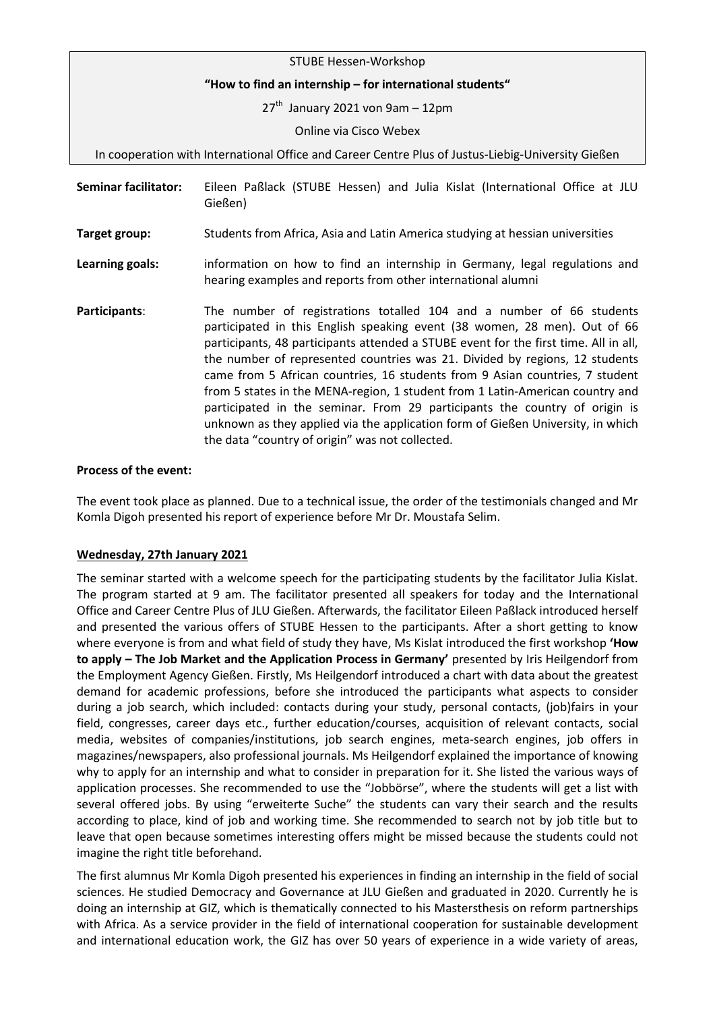| STUBE Hessen-Workshop                                                                              |                                                                                                                                                                                                                                                                                                                                                                                                                                                                                                                                                                                                                                                                                                               |
|----------------------------------------------------------------------------------------------------|---------------------------------------------------------------------------------------------------------------------------------------------------------------------------------------------------------------------------------------------------------------------------------------------------------------------------------------------------------------------------------------------------------------------------------------------------------------------------------------------------------------------------------------------------------------------------------------------------------------------------------------------------------------------------------------------------------------|
| "How to find an internship - for international students"                                           |                                                                                                                                                                                                                                                                                                                                                                                                                                                                                                                                                                                                                                                                                                               |
|                                                                                                    | $27th$ January 2021 von 9am - 12pm                                                                                                                                                                                                                                                                                                                                                                                                                                                                                                                                                                                                                                                                            |
|                                                                                                    | Online via Cisco Webex                                                                                                                                                                                                                                                                                                                                                                                                                                                                                                                                                                                                                                                                                        |
| In cooperation with International Office and Career Centre Plus of Justus-Liebig-University Gießen |                                                                                                                                                                                                                                                                                                                                                                                                                                                                                                                                                                                                                                                                                                               |
| <b>Seminar facilitator:</b>                                                                        | Eileen Paßlack (STUBE Hessen) and Julia Kislat (International Office at JLU<br>Gießen)                                                                                                                                                                                                                                                                                                                                                                                                                                                                                                                                                                                                                        |
| Target group:                                                                                      | Students from Africa, Asia and Latin America studying at hessian universities                                                                                                                                                                                                                                                                                                                                                                                                                                                                                                                                                                                                                                 |
| Learning goals:                                                                                    | information on how to find an internship in Germany, legal regulations and<br>hearing examples and reports from other international alumni                                                                                                                                                                                                                                                                                                                                                                                                                                                                                                                                                                    |
| Participants:                                                                                      | The number of registrations totalled 104 and a number of 66 students<br>participated in this English speaking event (38 women, 28 men). Out of 66<br>participants, 48 participants attended a STUBE event for the first time. All in all,<br>the number of represented countries was 21. Divided by regions, 12 students<br>came from 5 African countries, 16 students from 9 Asian countries, 7 student<br>from 5 states in the MENA-region, 1 student from 1 Latin-American country and<br>participated in the seminar. From 29 participants the country of origin is<br>unknown as they applied via the application form of Gießen University, in which<br>the data "country of origin" was not collected. |

## **Process of the event:**

The event took place as planned. Due to a technical issue, the order of the testimonials changed and Mr Komla Digoh presented his report of experience before Mr Dr. Moustafa Selim.

## **Wednesday, 27th January 2021**

The seminar started with a welcome speech for the participating students by the facilitator Julia Kislat. The program started at 9 am. The facilitator presented all speakers for today and the International Office and Career Centre Plus of JLU Gießen. Afterwards, the facilitator Eileen Paßlack introduced herself and presented the various offers of STUBE Hessen to the participants. After a short getting to know where everyone is from and what field of study they have, Ms Kislat introduced the first workshop **'How to apply – The Job Market and the Application Process in Germany'** presented by Iris Heilgendorf from the Employment Agency Gießen. Firstly, Ms Heilgendorf introduced a chart with data about the greatest demand for academic professions, before she introduced the participants what aspects to consider during a job search, which included: contacts during your study, personal contacts, (job)fairs in your field, congresses, career days etc., further education/courses, acquisition of relevant contacts, social media, websites of companies/institutions, job search engines, meta-search engines, job offers in magazines/newspapers, also professional journals. Ms Heilgendorf explained the importance of knowing why to apply for an internship and what to consider in preparation for it. She listed the various ways of application processes. She recommended to use the "Jobbörse", where the students will get a list with several offered jobs. By using "erweiterte Suche" the students can vary their search and the results according to place, kind of job and working time. She recommended to search not by job title but to leave that open because sometimes interesting offers might be missed because the students could not imagine the right title beforehand.

The first alumnus Mr Komla Digoh presented his experiences in finding an internship in the field of social sciences. He studied Democracy and Governance at JLU Gießen and graduated in 2020. Currently he is doing an internship at GIZ, which is thematically connected to his Mastersthesis on reform partnerships with Africa. As a service provider in the field of international cooperation for sustainable development and international education work, the GIZ has over 50 years of experience in a wide variety of areas,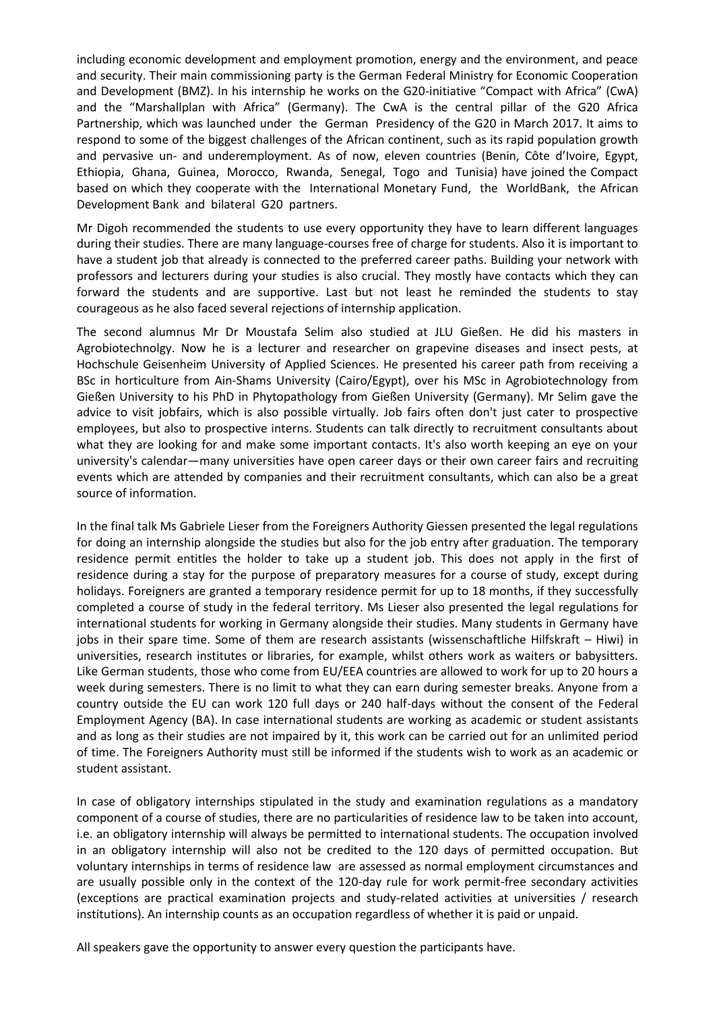including economic development and employment promotion, energy and the environment, and peace and security. Their main commissioning party is the German Federal Ministry for Economic Cooperation and Development (BMZ). In his internship he works on the G20-initiative "Compact with Africa" (CwA) and the "Marshallplan with Africa" (Germany). The CwA is the central pillar of the G20 Africa Partnership, which was launched under the German Presidency of the G20 in March 2017. It aims to respond to some of the biggest challenges of the African continent, such as its rapid population growth and pervasive un- and underemployment. As of now, eleven countries (Benin, Côte d'Ivoire, Egypt, Ethiopia, Ghana, Guinea, Morocco, Rwanda, Senegal, Togo and Tunisia) have joined the Compact based on which they cooperate with the International Monetary Fund, the WorldBank, the African Development Bank and bilateral G20 partners.

Mr Digoh recommended the students to use every opportunity they have to learn different languages during their studies. There are many language-courses free of charge for students. Also it is important to have a student job that already is connected to the preferred career paths. Building your network with professors and lecturers during your studies is also crucial. They mostly have contacts which they can forward the students and are supportive. Last but not least he reminded the students to stay courageous as he also faced several rejections of internship application.

The second alumnus Mr Dr Moustafa Selim also studied at JLU Gießen. He did his masters in Agrobiotechnolgy. Now he is a lecturer and researcher on grapevine diseases and insect pests, at Hochschule Geisenheim University of Applied Sciences. He presented his career path from receiving a BSc in horticulture from Ain-Shams University (Cairo/Egypt), over his MSc in Agrobiotechnology from Gießen University to his PhD in Phytopathology from Gießen University (Germany). Mr Selim gave the advice to visit jobfairs, which is also possible virtually. Job fairs often don't just cater to prospective employees, but also to prospective interns. Students can talk directly to recruitment consultants about what they are looking for and make some important contacts. It's also worth keeping an eye on your university's calendar—many universities have open career days or their own career fairs and recruiting events which are attended by companies and their recruitment consultants, which can also be a great source of information.

In the final talk Ms Gabriele Lieser from the Foreigners Authority Giessen presented the legal regulations for doing an internship alongside the studies but also for the job entry after graduation. The temporary residence permit entitles the holder to take up a student job. This does not apply in the first of residence during a stay for the purpose of preparatory measures for a course of study, except during holidays. Foreigners are granted a temporary residence permit for up to 18 months, if they successfully completed a course of study in the federal territory. Ms Lieser also presented the legal regulations for international students for working in Germany alongside their studies. Many students in Germany have jobs in their spare time. Some of them are research assistants (wissenschaftliche Hilfskraft – Hiwi) in universities, research institutes or libraries, for example, whilst others work as waiters or babysitters. Like German students, those who come from EU/EEA countries are allowed to work for up to 20 hours a week during semesters. There is no limit to what they can earn during semester breaks. Anyone from a country outside the EU can work 120 full days or 240 half-days without the consent of the Federal Employment Agency (BA). In case international students are working as academic or student assistants and as long as their studies are not impaired by it, this work can be carried out for an unlimited period of time. The Foreigners Authority must still be informed if the students wish to work as an academic or student assistant.

In case of obligatory internships stipulated in the study and examination regulations as a mandatory component of a course of studies, there are no particularities of residence law to be taken into account, i.e. an obligatory internship will always be permitted to international students. The occupation involved in an obligatory internship will also not be credited to the 120 days of permitted occupation. But voluntary internships in terms of residence law are assessed as normal employment circumstances and are usually possible only in the context of the 120-day rule for work permit-free secondary activities (exceptions are practical examination projects and study-related activities at universities / research institutions). An internship counts as an occupation regardless of whether it is paid or unpaid.

All speakers gave the opportunity to answer every question the participants have.